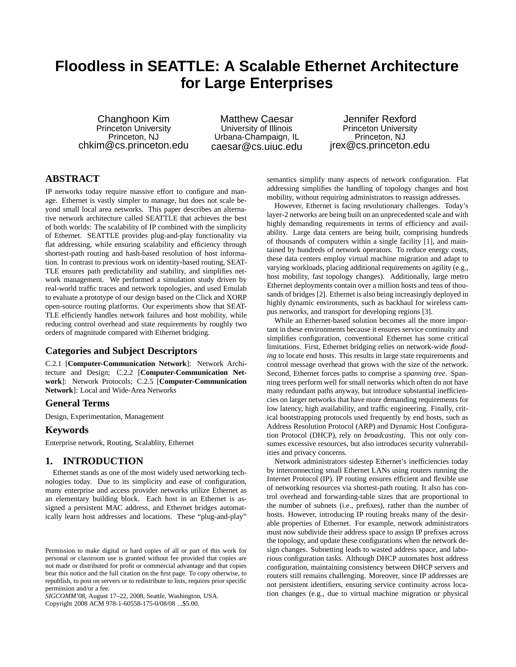# **Floodless in SEATTLE: A Scalable Ethernet Architecture for Large Enterprises**

Changhoon Kim Princeton University Princeton, NJ chkim@cs.princeton.edu

Matthew Caesar University of Illinois Urbana-Champaign, IL caesar@cs.uiuc.edu

Jennifer Rexford Princeton University Princeton, NJ jrex@cs.princeton.edu

# **ABSTRACT**

IP networks today require massive effort to configure and manage. Ethernet is vastly simpler to manage, but does not scale beyond small local area networks. This paper describes an alternative network architecture called SEATTLE that achieves the best of both worlds: The scalability of IP combined with the simplicity of Ethernet. SEATTLE provides plug-and-play functionality via flat addressing, while ensuring scalability and efficiency through shortest-path routing and hash-based resolution of host information. In contrast to previous work on identity-based routing, SEAT-TLE ensures path predictability and stability, and simplifies network management. We performed a simulation study driven by real-world traffic traces and network topologies, and used Emulab to evaluate a prototype of our design based on the Click and XORP open-source routing platforms. Our experiments show that SEAT-TLE efficiently handles network failures and host mobility, while reducing control overhead and state requirements by roughly two orders of magnitude compared with Ethernet bridging.

## **Categories and Subject Descriptors**

C.2.1 [**Computer-Communication Network**]: Network Architecture and Design; C.2.2 [**Computer-Communication Network**]: Network Protocols; C.2.5 [**Computer-Communication Network**]: Local and Wide-Area Networks

## **General Terms**

Design, Experimentation, Management

## **Keywords**

Enterprise network, Routing, Scalablity, Ethernet

## **1. INTRODUCTION**

Ethernet stands as one of the most widely used networking technologies today. Due to its simplicity and ease of configuration, many enterprise and access provider networks utilize Ethernet as an elementary building block. Each host in an Ethernet is assigned a persistent MAC address, and Ethernet bridges automatically learn host addresses and locations. These "plug-and-play"

*SIGCOMM'08,* August 17–22, 2008, Seattle, Washington, USA. Copyright 2008 ACM 978-1-60558-175-0/08/08 ...\$5.00.

semantics simplify many aspects of network configuration. Flat addressing simplifies the handling of topology changes and host mobility, without requiring administrators to reassign addresses.

However, Ethernet is facing revolutionary challenges. Today's layer-2 networks are being built on an unprecedented scale and with highly demanding requirements in terms of efficiency and availability. Large data centers are being built, comprising hundreds of thousands of computers within a single facility [1], and maintained by hundreds of network operators. To reduce energy costs, these data centers employ virtual machine migration and adapt to varying workloads, placing additional requirements on agility (e.g., host mobility, fast topology changes). Additionally, large metro Ethernet deployments contain over a million hosts and tens of thousands of bridges [2]. Ethernet is also being increasingly deployed in highly dynamic environments, such as backhaul for wireless campus networks, and transport for developing regions [3].

While an Ethernet-based solution becomes all the more important in these environments because it ensures service continuity and simplifies configuration, conventional Ethernet has some critical limitations. First, Ethernet bridging relies on network-wide *flooding* to locate end hosts. This results in large state requirements and control message overhead that grows with the size of the network. Second, Ethernet forces paths to comprise a *spanning tree*. Spanning trees perform well for small networks which often do not have many redundant paths anyway, but introduce substantial inefficiencies on larger networks that have more demanding requirements for low latency, high availability, and traffic engineering. Finally, critical bootstrapping protocols used frequently by end hosts, such as Address Resolution Protocol (ARP) and Dynamic Host Configuration Protocol (DHCP), rely on *broadcasting*. This not only consumes excessive resources, but also introduces security vulnerabilities and privacy concerns.

Network administrators sidestep Ethernet's inefficiencies today by interconnecting small Ethernet LANs using routers running the Internet Protocol (IP). IP routing ensures efficient and flexible use of networking resources via shortest-path routing. It also has control overhead and forwarding-table sizes that are proportional to the number of subnets (i.e., prefixes), rather than the number of hosts. However, introducing IP routing breaks many of the desirable properties of Ethernet. For example, network administrators must now subdivide their address space to assign IP prefixes across the topology, and update these configurations when the network design changes. Subnetting leads to wasted address space, and laborious configuration tasks. Although DHCP automates host address configuration, maintaining consistency between DHCP servers and routers still remains challenging. Moreover, since IP addresses are not persistent identifiers, ensuring service continuity across location changes (e.g., due to virtual machine migration or physical

Permission to make digital or hard copies of all or part of this work for personal or classroom use is granted without fee provided that copies are not made or distributed for profit or commercial advantage and that copies bear this notice and the full citation on the first page. To copy otherwise, to republish, to post on servers or to redistribute to lists, requires prior specific permission and/or a fee.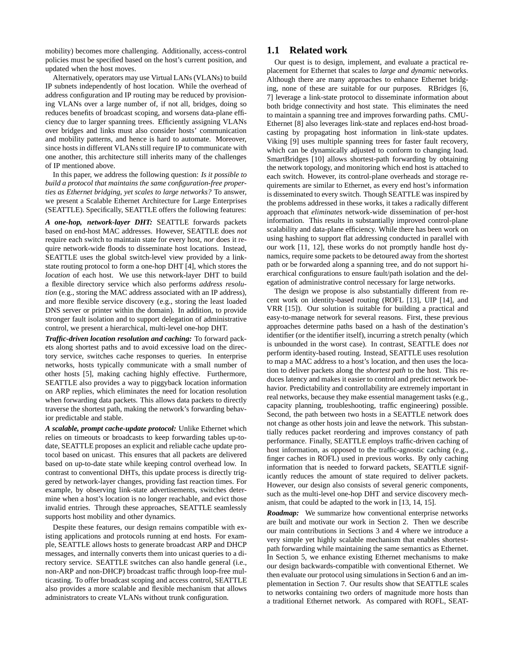mobility) becomes more challenging. Additionally, access-control policies must be specified based on the host's current position, and updated when the host moves.

Alternatively, operators may use Virtual LANs (VLANs) to build IP subnets independently of host location. While the overhead of address configuration and IP routing may be reduced by provisioning VLANs over a large number of, if not all, bridges, doing so reduces benefits of broadcast scoping, and worsens data-plane efficiency due to larger spanning trees. Efficiently assigning VLANs over bridges and links must also consider hosts' communication and mobility patterns, and hence is hard to automate. Moreover, since hosts in different VLANs still require IP to communicate with one another, this architecture still inherits many of the challenges of IP mentioned above.

In this paper, we address the following question: *Is it possible to build a protocol that maintains the same configuration-free properties as Ethernet bridging, yet scales to large networks?* To answer, we present a Scalable Ethernet Architecture for Large Enterprises (SEATTLE). Specifically, SEATTLE offers the following features:

*A one-hop, network-layer DHT:* SEATTLE forwards packets based on end-host MAC addresses. However, SEATTLE does *not* require each switch to maintain state for every host, *nor* does it require network-wide floods to disseminate host locations. Instead, SEATTLE uses the global switch-level view provided by a linkstate routing protocol to form a one-hop DHT [4], which stores the *location* of each host. We use this network-layer DHT to build a flexible directory service which also performs *address resolution* (e.g., storing the MAC address associated with an IP address), and more flexible service discovery (e.g., storing the least loaded DNS server or printer within the domain). In addition, to provide stronger fault isolation and to support delegation of administrative control, we present a hierarchical, multi-level one-hop DHT.

*Traffic-driven location resolution and caching:* To forward packets along shortest paths and to avoid excessive load on the directory service, switches cache responses to queries. In enterprise networks, hosts typically communicate with a small number of other hosts [5], making caching highly effective. Furthermore, SEATTLE also provides a way to piggyback location information on ARP replies, which eliminates the need for location resolution when forwarding data packets. This allows data packets to directly traverse the shortest path, making the network's forwarding behavior predictable and stable.

*A scalable, prompt cache-update protocol:* Unlike Ethernet which relies on timeouts or broadcasts to keep forwarding tables up-todate, SEATTLE proposes an explicit and reliable cache update protocol based on unicast. This ensures that all packets are delivered based on up-to-date state while keeping control overhead low. In contrast to conventional DHTs, this update process is directly triggered by network-layer changes, providing fast reaction times. For example, by observing link-state advertisements, switches determine when a host's location is no longer reachable, and evict those invalid entries. Through these approaches, SEATTLE seamlessly supports host mobility and other dynamics.

Despite these features, our design remains compatible with existing applications and protocols running at end hosts. For example, SEATTLE allows hosts to generate broadcast ARP and DHCP messages, and internally converts them into unicast queries to a directory service. SEATTLE switches can also handle general (i.e., non-ARP and non-DHCP) broadcast traffic through loop-free multicasting. To offer broadcast scoping and access control, SEATTLE also provides a more scalable and flexible mechanism that allows administrators to create VLANs without trunk configuration.

## **1.1 Related work**

Our quest is to design, implement, and evaluate a practical replacement for Ethernet that scales to *large and dynamic* networks. Although there are many approaches to enhance Ethernet bridging, none of these are suitable for our purposes. RBridges [6, 7] leverage a link-state protocol to disseminate information about both bridge connectivity and host state. This eliminates the need to maintain a spanning tree and improves forwarding paths. CMU-Ethernet [8] also leverages link-state and replaces end-host broadcasting by propagating host information in link-state updates. Viking [9] uses multiple spanning trees for faster fault recovery, which can be dynamically adjusted to conform to changing load. SmartBridges [10] allows shortest-path forwarding by obtaining the network topology, and monitoring which end host is attached to each switch. However, its control-plane overheads and storage requirements are similar to Ethernet, as every end host's information is disseminated to every switch. Though SEATTLE was inspired by the problems addressed in these works, it takes a radically different approach that *eliminates* network-wide dissemination of per-host information. This results in substantially improved control-plane scalability and data-plane efficiency. While there has been work on using hashing to support flat addressing conducted in parallel with our work [11, 12], these works do not promptly handle host dynamics, require some packets to be detoured away from the shortest path or be forwarded along a spanning tree, and do not support hierarchical configurations to ensure fault/path isolation and the delegation of administrative control necessary for large networks.

The design we propose is also substantially different from recent work on identity-based routing (ROFL [13], UIP [14], and VRR [15]). Our solution is suitable for building a practical and easy-to-manage network for several reasons. First, these previous approaches determine paths based on a hash of the destination's identifier (or the identifier itself), incurring a stretch penalty (which is unbounded in the worst case). In contrast, SEATTLE does *not* perform identity-based routing. Instead, SEATTLE uses resolution to map a MAC address to a host's location, and then uses the location to deliver packets along the *shortest path* to the host. This reduces latency and makes it easier to control and predict network behavior. Predictability and controllability are extremely important in real networks, because they make essential management tasks (e.g., capacity planning, troubleshooting, traffic engineering) possible. Second, the path between two hosts in a SEATTLE network does not change as other hosts join and leave the network. This substantially reduces packet reordering and improves constancy of path performance. Finally, SEATTLE employs traffic-driven caching of host information, as opposed to the traffic-agnostic caching (e.g., finger caches in ROFL) used in previous works. By only caching information that is needed to forward packets, SEATTLE significantly reduces the amount of state required to deliver packets. However, our design also consists of several generic components, such as the multi-level one-hop DHT and service discovery mechanism, that could be adapted to the work in [13, 14, 15].

*Roadmap:* We summarize how conventional enterprise networks are built and motivate our work in Section 2. Then we describe our main contributions in Sections 3 and 4 where we introduce a very simple yet highly scalable mechanism that enables shortestpath forwarding while maintaining the same semantics as Ethernet. In Section 5, we enhance existing Ethernet mechanisms to make our design backwards-compatible with conventional Ethernet. We then evaluate our protocol using simulations in Section 6 and an implementation in Section 7. Our results show that SEATTLE scales to networks containing two orders of magnitude more hosts than a traditional Ethernet network. As compared with ROFL, SEAT-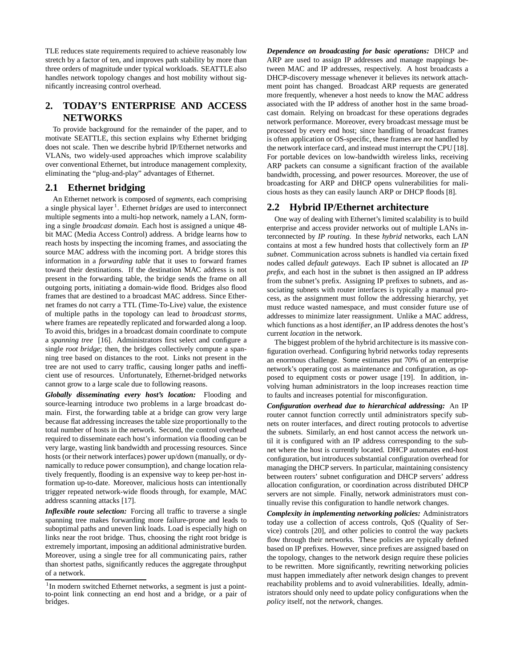TLE reduces state requirements required to achieve reasonably low stretch by a factor of ten, and improves path stability by more than three orders of magnitude under typical workloads. SEATTLE also handles network topology changes and host mobility without significantly increasing control overhead.

# **2. TODAY'S ENTERPRISE AND ACCESS NETWORKS**

To provide background for the remainder of the paper, and to motivate SEATTLE, this section explains why Ethernet bridging does not scale. Then we describe hybrid IP/Ethernet networks and VLANs, two widely-used approaches which improve scalability over conventional Ethernet, but introduce management complexity, eliminating the "plug-and-play" advantages of Ethernet.

## **2.1 Ethernet bridging**

An Ethernet network is composed of *segments*, each comprising a single physical layer<sup>1</sup>. Ethernet *bridges* are used to interconnect multiple segments into a multi-hop network, namely a LAN, forming a single *broadcast domain*. Each host is assigned a unique 48 bit MAC (Media Access Control) address. A bridge learns how to reach hosts by inspecting the incoming frames, and associating the source MAC address with the incoming port. A bridge stores this information in a *forwarding table* that it uses to forward frames toward their destinations. If the destination MAC address is not present in the forwarding table, the bridge sends the frame on all outgoing ports, initiating a domain-wide flood. Bridges also flood frames that are destined to a broadcast MAC address. Since Ethernet frames do not carry a TTL (Time-To-Live) value, the existence of multiple paths in the topology can lead to *broadcast storms*, where frames are repeatedly replicated and forwarded along a loop. To avoid this, bridges in a broadcast domain coordinate to compute a *spanning tree* [16]. Administrators first select and configure a single *root bridge*; then, the bridges collectively compute a spanning tree based on distances to the root. Links not present in the tree are not used to carry traffic, causing longer paths and inefficient use of resources. Unfortunately, Ethernet-bridged networks cannot grow to a large scale due to following reasons.

*Globally disseminating every host's location:* Flooding and source-learning introduce two problems in a large broadcast domain. First, the forwarding table at a bridge can grow very large because flat addressing increases the table size proportionally to the total number of hosts in the network. Second, the control overhead required to disseminate each host's information via flooding can be very large, wasting link bandwidth and processing resources. Since hosts (or their network interfaces) power up/down (manually, or dynamically to reduce power consumption), and change location relatively frequently, flooding is an expensive way to keep per-host information up-to-date. Moreover, malicious hosts can intentionally trigger repeated network-wide floods through, for example, MAC address scanning attacks [17].

*Inflexible route selection:* Forcing all traffic to traverse a single spanning tree makes forwarding more failure-prone and leads to suboptimal paths and uneven link loads. Load is especially high on links near the root bridge. Thus, choosing the right root bridge is extremely important, imposing an additional administrative burden. Moreover, using a single tree for all communicating pairs, rather than shortest paths, significantly reduces the aggregate throughput of a network.

*Dependence on broadcasting for basic operations:* DHCP and ARP are used to assign IP addresses and manage mappings between MAC and IP addresses, respectively. A host broadcasts a DHCP-discovery message whenever it believes its network attachment point has changed. Broadcast ARP requests are generated more frequently, whenever a host needs to know the MAC address associated with the IP address of another host in the same broadcast domain. Relying on broadcast for these operations degrades network performance. Moreover, every broadcast message must be processed by every end host; since handling of broadcast frames is often application or OS-specific, these frames are *not* handled by the network interface card, and instead must interrupt the CPU [18]. For portable devices on low-bandwidth wireless links, receiving ARP packets can consume a significant fraction of the available bandwidth, processing, and power resources. Moreover, the use of broadcasting for ARP and DHCP opens vulnerabilities for malicious hosts as they can easily launch ARP or DHCP floods [8].

## **2.2 Hybrid IP/Ethernet architecture**

One way of dealing with Ethernet's limited scalability is to build enterprise and access provider networks out of multiple LANs interconnected by *IP routing*. In these *hybrid* networks, each LAN contains at most a few hundred hosts that collectively form an *IP subnet*. Communication across subnets is handled via certain fixed nodes called *default gateways*. Each IP subnet is allocated an *IP prefix*, and each host in the subnet is then assigned an IP address from the subnet's prefix. Assigning IP prefixes to subnets, and associating subnets with router interfaces is typically a manual process, as the assignment must follow the addressing hierarchy, yet must reduce wasted namespace, and must consider future use of addresses to minimize later reassignment. Unlike a MAC address, which functions as a host *identifier*, an IP address denotes the host's current *location* in the network.

The biggest problem of the hybrid architecture is its massive configuration overhead. Configuring hybrid networks today represents an enormous challenge. Some estimates put 70% of an enterprise network's operating cost as maintenance and configuration, as opposed to equipment costs or power usage [19]. In addition, involving human administrators in the loop increases reaction time to faults and increases potential for misconfiguration.

*Configuration overhead due to hierarchical addressing:* An IP router cannot function correctly until administrators specify subnets on router interfaces, and direct routing protocols to advertise the subnets. Similarly, an end host cannot access the network until it is configured with an IP address corresponding to the subnet where the host is currently located. DHCP automates end-host configuration, but introduces substantial configuration overhead for managing the DHCP servers. In particular, maintaining consistency between routers' subnet configuration and DHCP servers' address allocation configuration, or coordination across distributed DHCP servers are not simple. Finally, network administrators must continually revise this configuration to handle network changes.

*Complexity in implementing networking policies:* Administrators today use a collection of access controls, QoS (Quality of Service) controls [20], and other policies to control the way packets flow through their networks. These policies are typically defined based on IP prefixes. However, since prefixes are assigned based on the topology, changes to the network design require these policies to be rewritten. More significantly, rewriting networking policies must happen immediately after network design changes to prevent reachability problems and to avoid vulnerabilities. Ideally, administrators should only need to update policy configurations when the *policy* itself, not the *network*, changes.

<sup>&</sup>lt;sup>1</sup>In modern switched Ethernet networks, a segment is just a pointto-point link connecting an end host and a bridge, or a pair of bridges.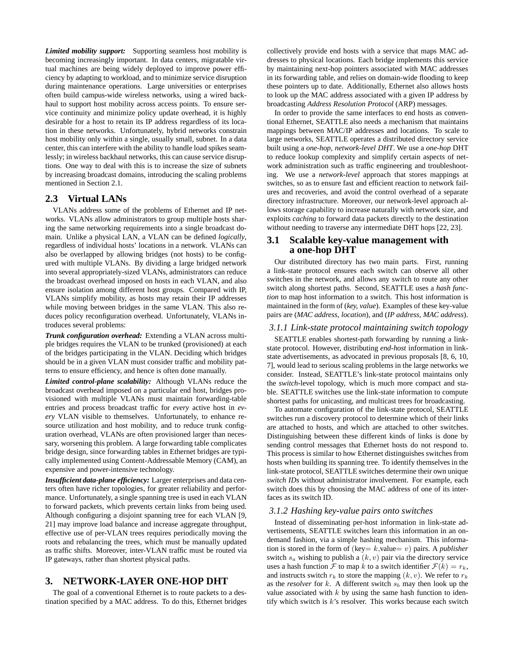*Limited mobility support:* Supporting seamless host mobility is becoming increasingly important. In data centers, migratable virtual machines are being widely deployed to improve power efficiency by adapting to workload, and to minimize service disruption during maintenance operations. Large universities or enterprises often build campus-wide wireless networks, using a wired backhaul to support host mobility across access points. To ensure service continuity and minimize policy update overhead, it is highly desirable for a host to retain its IP address regardless of its location in these networks. Unfortunately, hybrid networks constrain host mobility only within a single, usually small, subnet. In a data center, this can interfere with the ability to handle load spikes seamlessly; in wireless backhaul networks, this can cause service disruptions. One way to deal with this is to increase the size of subnets by increasing broadcast domains, introducing the scaling problems mentioned in Section 2.1.

## **2.3 Virtual LANs**

VLANs address some of the problems of Ethernet and IP networks. VLANs allow administrators to group multiple hosts sharing the same networking requirements into a single broadcast domain. Unlike a physical LAN, a VLAN can be defined *logically*, regardless of individual hosts' locations in a network. VLANs can also be overlapped by allowing bridges (not hosts) to be configured with multiple VLANs. By dividing a large bridged network into several appropriately-sized VLANs, administrators can reduce the broadcast overhead imposed on hosts in each VLAN, and also ensure isolation among different host groups. Compared with IP, VLANs simplify mobility, as hosts may retain their IP addresses while moving between bridges in the same VLAN. This also reduces policy reconfiguration overhead. Unfortunately, VLANs introduces several problems:

*Trunk configuration overhead:* Extending a VLAN across multiple bridges requires the VLAN to be trunked (provisioned) at each of the bridges participating in the VLAN. Deciding which bridges should be in a given VLAN must consider traffic and mobility patterns to ensure efficiency, and hence is often done manually.

*Limited control-plane scalability:* Although VLANs reduce the broadcast overhead imposed on a particular end host, bridges provisioned with multiple VLANs must maintain forwarding-table entries and process broadcast traffic for *every* active host in *every* VLAN visible to themselves. Unfortunately, to enhance resource utilization and host mobility, and to reduce trunk configuration overhead, VLANs are often provisioned larger than necessary, worsening this problem. A large forwarding table complicates bridge design, since forwarding tables in Ethernet bridges are typically implemented using Content-Addressable Memory (CAM), an expensive and power-intensive technology.

*Insufficient data-plane efficiency:* Larger enterprises and data centers often have richer topologies, for greater reliability and performance. Unfortunately, a single spanning tree is used in each VLAN to forward packets, which prevents certain links from being used. Although configuring a disjoint spanning tree for each VLAN [9, 21] may improve load balance and increase aggregate throughput, effective use of per-VLAN trees requires periodically moving the roots and rebalancing the trees, which must be manually updated as traffic shifts. Moreover, inter-VLAN traffic must be routed via IP gateways, rather than shortest physical paths.

## **3. NETWORK-LAYER ONE-HOP DHT**

The goal of a conventional Ethernet is to route packets to a destination specified by a MAC address. To do this, Ethernet bridges collectively provide end hosts with a service that maps MAC addresses to physical locations. Each bridge implements this service by maintaining next-hop pointers associated with MAC addresses in its forwarding table, and relies on domain-wide flooding to keep these pointers up to date. Additionally, Ethernet also allows hosts to look up the MAC address associated with a given IP address by broadcasting *Address Resolution Protocol* (ARP) messages.

In order to provide the same interfaces to end hosts as conventional Ethernet, SEATTLE also needs a mechanism that maintains mappings between MAC/IP addresses and locations. To scale to large networks, SEATTLE operates a distributed directory service built using a *one-hop, network-level DHT*. We use a *one-hop* DHT to reduce lookup complexity and simplify certain aspects of network administration such as traffic engineering and troubleshooting. We use a *network-level* approach that stores mappings at switches, so as to ensure fast and efficient reaction to network failures and recoveries, and avoid the control overhead of a separate directory infrastructure. Moreover, our network-level approach allows storage capability to increase naturally with network size, and exploits *caching* to forward data packets directly to the destination without needing to traverse any intermediate DHT hops [22, 23].

## **3.1 Scalable key-value management with a one-hop DHT**

Our distributed directory has two main parts. First, running a link-state protocol ensures each switch can observe all other switches in the network, and allows any switch to route any other switch along shortest paths. Second, SEATTLE uses a *hash function* to map host information to a switch. This host information is maintained in the form of (*key, value*). Examples of these key-value pairs are (*MAC address, location*), and (*IP address, MAC address*).

#### *3.1.1 Link-state protocol maintaining switch topology*

SEATTLE enables shortest-path forwarding by running a linkstate protocol. However, distributing *end-host* information in linkstate advertisements, as advocated in previous proposals [8, 6, 10, 7], would lead to serious scaling problems in the large networks we consider. Instead, SEATTLE's link-state protocol maintains only the *switch*-level topology, which is much more compact and stable. SEATTLE switches use the link-state information to compute shortest paths for unicasting, and multicast trees for broadcasting.

To automate configuration of the link-state protocol, SEATTLE switches run a discovery protocol to determine which of their links are attached to hosts, and which are attached to other switches. Distinguishing between these different kinds of links is done by sending control messages that Ethernet hosts do not respond to. This process is similar to how Ethernet distinguishes switches from hosts when building its spanning tree. To identify themselves in the link-state protocol, SEATTLE switches determine their own unique *switch IDs* without administrator involvement. For example, each switch does this by choosing the MAC address of one of its interfaces as its switch ID.

## *3.1.2 Hashing key-value pairs onto switches*

Instead of disseminating per-host information in link-state advertisements, SEATTLE switches learn this information in an ondemand fashion, via a simple hashing mechanism. This information is stored in the form of (key=  $k$ , value=  $v$ ) pairs. A *publisher* switch  $s_a$  wishing to publish a  $(k, v)$  pair via the directory service uses a hash function F to map k to a switch identifier  $\mathcal{F}(k) = r_k$ , and instructs switch  $r_k$  to store the mapping  $(k, v)$ . We refer to  $r_k$ as the *resolver* for  $k$ . A different switch  $s<sub>b</sub>$  may then look up the value associated with  $k$  by using the same hash function to identify which switch is  $k$ 's resolver. This works because each switch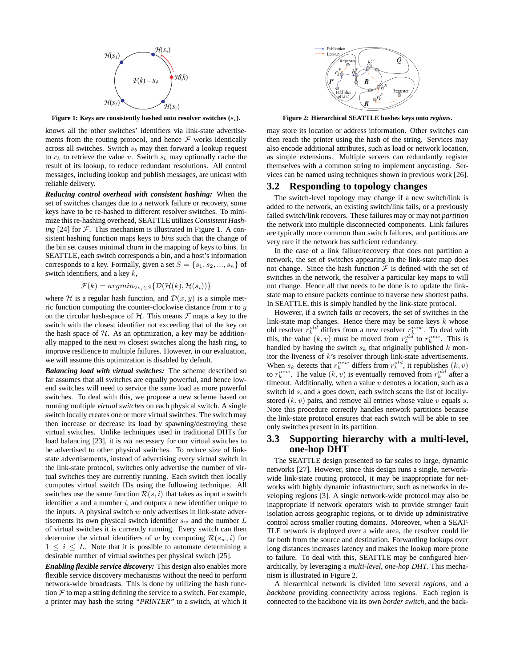

**Figure 1:** Keys are consistently hashed onto resolver switches  $(s_i)$ .

knows all the other switches' identifiers via link-state advertisements from the routing protocol, and hence  $F$  works identically across all switches. Switch  $s_b$  may then forward a lookup request to  $r_k$  to retrieve the value v. Switch  $s_b$  may optionally cache the result of its lookup, to reduce redundant resolutions. All control messages, including lookup and publish messages, are unicast with reliable delivery.

*Reducing control overhead with consistent hashing:* When the set of switches changes due to a network failure or recovery, some keys have to be re-hashed to different resolver switches. To minimize this re-hashing overhead, SEATTLE utilizes *Consistent Hashing* [24] for  $F$ . This mechanism is illustrated in Figure 1. A consistent hashing function maps keys to *bins* such that the change of the bin set causes minimal churn in the mapping of keys to bins. In SEATTLE, each switch corresponds a bin, and a host's information corresponds to a key. Formally, given a set  $S = \{s_1, s_2, ..., s_n\}$  of switch identifiers, and a key  $k$ ,

 $\mathcal{F}(k) = argmin_{\forall s_i \in S} \{ \mathcal{D}(\mathcal{H}(k), \mathcal{H}(s_i)) \}$ 

where H is a regular hash function, and  $\mathcal{D}(x, y)$  is a simple metric function computing the counter-clockwise distance from  $x$  to  $y$ on the circular hash-space of  $H$ . This means  $F$  maps a key to the switch with the closest identifier not exceeding that of the key on the hash space of  $H$ . As an optimization, a key may be additionally mapped to the next  $m$  closest switches along the hash ring, to improve resilience to multiple failures. However, in our evaluation, we will assume this optimization is disabled by default.

*Balancing load with virtual switches:* The scheme described so far assumes that all switches are equally powerful, and hence lowend switches will need to service the same load as more powerful switches. To deal with this, we propose a new scheme based on running multiple *virtual switches* on each physical switch. A single switch locally creates one or more virtual switches. The switch may then increase or decrease its load by spawning/destroying these virtual switches. Unlike techniques used in traditional DHTs for load balancing [23], it is *not* necessary for our virtual switches to be advertised to other physical switches. To reduce size of linkstate advertisements, instead of advertising every virtual switch in the link-state protocol, switches only advertise the number of virtual switches they are currently running. Each switch then locally computes virtual switch IDs using the following technique. All switches use the same function  $\mathcal{R}(s, i)$  that takes as input a switch identifier  $s$  and a number  $i$ , and outputs a new identifier unique to the inputs. A physical switch  $w$  only advertises in link-state advertisements its own physical switch identifier  $s_w$  and the number  $L$ of virtual switches it is currently running. Every switch can then determine the virtual identifiers of w by computing  $\mathcal{R}(s_w, i)$  for  $1 \leq i \leq L$ . Note that it is possible to automate determining a desirable number of virtual switches per physical switch [25].

*Enabling flexible service discovery:* This design also enables more flexible service discovery mechanisms without the need to perform network-wide broadcasts. This is done by utilizing the hash function  $F$  to map a string defining the service to a switch. For example, a printer may hash the string *"PRINTER"* to a switch, at which it



**Figure 2: Hierarchical SEATTLE hashes keys onto** *regions***.**

may store its location or address information. Other switches can then reach the printer using the hash of the string. Services may also encode additional attributes, such as load or network location, as simple extensions. Multiple servers can redundantly register themselves with a common string to implement anycasting. Services can be named using techniques shown in previous work [26].

#### **3.2 Responding to topology changes**

The switch-level topology may change if a new switch/link is added to the network, an existing switch/link fails, or a previously failed switch/link recovers. These failures may or may not *partition* the network into multiple disconnected components. Link failures are typically more common than switch failures, and partitions are very rare if the network has sufficient redundancy.

In the case of a link failure/recovery that does not partition a network, the set of switches appearing in the link-state map does not change. Since the hash function  $\mathcal F$  is defined with the set of switches in the network, the resolver a particular key maps to will not change. Hence all that needs to be done is to update the linkstate map to ensure packets continue to traverse new shortest paths. In SEATTLE, this is simply handled by the link-state protocol.

However, if a switch fails or recovers, the set of switches in the link-state map changes. Hence there may be some keys  $k$  whose old resolver  $r_k^{old}$  differs from a new resolver  $r_k^{new}$ . To deal with this, the value  $(k, v)$  must be moved from  $r_k^{old}$  to  $r_k^{new}$ . This is handled by having the switch  $s_k$  that originally published  $k$  monitor the liveness of k's resolver through link-state advertisements. When  $s_k$  detects that  $r_k^{new}$  differs from  $r_k^{old}$ , it republishes  $(k, v)$ to  $r_k^{new}$ . The value  $(k, v)$  is eventually removed from  $r_k^{old}$  after a timeout. Additionally, when a value  $v$  denotes a location, such as a switch id s, and s goes down, each switch scans the list of locallystored  $(k, v)$  pairs, and remove all entries whose value v equals s. Note this procedure correctly handles network partitions because the link-state protocol ensures that each switch will be able to see only switches present in its partition.

## **3.3 Supporting hierarchy with a multi-level, one-hop DHT**

The SEATTLE design presented so far scales to large, dynamic networks [27]. However, since this design runs a single, networkwide link-state routing protocol, it may be inappropriate for networks with highly dynamic infrastructure, such as networks in developing regions [3]. A single network-wide protocol may also be inappropriate if network operators wish to provide stronger fault isolation across geographic regions, or to divide up administrative control across smaller routing domains. Moreover, when a SEAT-TLE network is deployed over a wide area, the resolver could lie far both from the source and destination. Forwarding lookups over long distances increases latency and makes the lookup more prone to failure. To deal with this, SEATTLE may be configured hierarchically, by leveraging a *multi-level, one-hop DHT*. This mechanism is illustrated in Figure 2.

A hierarchical network is divided into several *regions*, and a *backbone* providing connectivity across regions. Each region is connected to the backbone via its own *border switch*, and the back-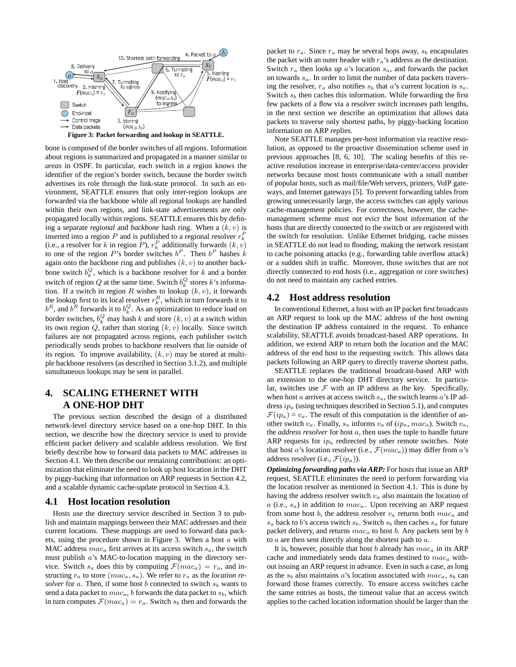

bone is composed of the border switches of all regions. Information about regions is summarized and propagated in a manner similar to *areas* in OSPF. In particular, each switch in a region knows the identifier of the region's border switch, because the border switch advertises its role through the link-state protocol. In such an environment, SEATTLE ensures that only inter-region lookups are forwarded via the backbone while all regional lookups are handled within their own regions, and link-state advertisements are only propagated locally within regions. SEATTLE ensures this by defining a separate *regional* and *backbone* hash ring. When a (k, v) is inserted into a region P and is published to a regional resolver  $r_k^P$ (i.e., a resolver for k in region P),  $r_k^P$  additionally forwards  $(k, v)$ to one of the region P's border switches  $b^P$ . Then  $b^P$  hashes k again onto the backbone ring and publishes  $(k, v)$  to another backbone switch  $b_k^Q$ , which is a backbone resolver for k and a border switch of region  $Q$  at the same time. Switch  $b_k^Q$  stores  $k$ 's information. If a switch in region  $R$  wishes to lookup  $(k, v)$ , it forwards the lookup first to its local resolver  $r_k^R$ , which in turn forwards it to  $b^R$ , and  $b^{\overline{R}}$  forwards it to  $b_k^Q$ . As an optimization to reduce load on border switches,  $b_k^Q$  may hash k and store  $(k, v)$  at a switch within its own region  $Q$ , rather than storing  $(k, v)$  locally. Since switch failures are not propagated across regions, each publisher switch periodically sends probes to backbone resolvers that lie outside of its region. To improve availability,  $(k, v)$  may be stored at multiple backbone resolvers (as described in Section 3.1.2), and multiple simultaneous lookups may be sent in parallel.

## **4. SCALING ETHERNET WITH A ONE-HOP DHT**

The previous section described the design of a distributed network-level directory service based on a one-hop DHT. In this section, we describe how the directory service is used to provide efficient packet delivery and scalable address resolution. We first briefly describe how to forward data packets to MAC addresses in Section 4.1. We then describe our remaining contributions: an optimization that eliminate the need to look up host location in the DHT by piggy-backing that information on ARP requests in Section 4.2, and a scalable dynamic cache-update protocol in Section 4.3.

#### **4.1 Host location resolution**

Hosts use the directory service described in Section 3 to publish and maintain mappings between their MAC addresses and their current locations. These mappings are used to forward data packets, using the procedure shown in Figure 3. When a host  $a$  with MAC address  $mac_a$  first arrives at its access switch  $s_a$ , the switch must publish a's MAC-to-location mapping in the directory service. Switch  $s_a$  does this by computing  $\mathcal{F}(mac_a) = r_a$ , and instructing  $r_a$  to store  $(mac_a, s_a)$ . We refer to  $r_a$  as the *location resolver* for a. Then, if some host b connected to switch  $s<sub>b</sub>$  wants to send a data packet to  $mac_a$ , b forwards the data packet to  $s_b$ , which in turn computes  $\mathcal{F}(mac_a) = r_a$ . Switch  $s_b$  then and forwards the packet to  $r_a$ . Since  $r_a$  may be several hops away,  $s_b$  encapsulates the packet with an outer header with  $r_a$ 's address as the destination. Switch  $r_a$  then looks up a's location  $s_a$ , and forwards the packet on towards  $s_a$ . In order to limit the number of data packets traversing the resolver,  $r_a$  also notifies  $s_b$  that a's current location is  $s_a$ . Switch  $s<sub>b</sub>$  then caches this information. While forwarding the first few packets of a flow via a resolver switch increases path lengths, in the next section we describe an optimization that allows data packets to traverse only shortest paths, by piggy-backing location information on ARP replies.

Note SEATTLE manages per-host information via reactive resolution, as opposed to the proactive dissemination scheme used in previous approaches [8, 6, 10]. The scaling benefits of this reactive resolution increase in enterprise/data-center/access provider networks because most hosts communicate with a small number of popular hosts, such as mail/file/Web servers, printers, VoIP gateways, and Internet gateways [5]. To prevent forwarding tables from growing unnecessarily large, the access switches can apply various cache-management policies. For correctness, however, the cachemanagement scheme must not evict the host information of the hosts that are directly connected to the switch or are registered with the switch for resolution. Unlike Ethernet bridging, cache misses in SEATTLE do not lead to flooding, making the network resistant to cache poisoning attacks (e.g., forwarding table overflow attack) or a sudden shift in traffic. Moreover, those switches that are not directly connected to end hosts (i.e., aggregation or core switches) do not need to maintain any cached entries.

#### **4.2 Host address resolution**

In conventional Ethernet, a host with an IP packet first broadcasts an ARP request to look up the MAC address of the host owning the destination IP address contained in the request. To enhance scalability, SEATTLE avoids broadcast-based ARP operations. In addition, we extend ARP to return both the *location* and the MAC address of the end host to the requesting switch. This allows data packets following an ARP query to directly traverse shortest paths.

SEATTLE replaces the traditional broadcast-based ARP with an extension to the one-hop DHT directory service. In particular, switches use  $F$  with an IP address as the key. Specifically, when host  $a$  arrives at access switch  $s_a$ , the switch learns  $a$ 's IP address  $ip_a$  (using techniques described in Section 5.1), and computes  $\mathcal{F}(ip_a) = v_a$ . The result of this computation is the identifier of another switch  $v_a$ . Finally,  $s_a$  informs  $v_a$  of  $(ip_a, mac_a)$ . Switch  $v_a$ , the *address resolver* for host a, then uses the tuple to handle future ARP requests for  $ip_a$  redirected by other remote switches. Note that host a's location resolver (i.e.,  $\mathcal{F}(mac_a)$ ) may differ from a's address resolver (i.e.,  $\mathcal{F}(ip_a)$ ).

*Optimizing forwarding paths via ARP:* For hosts that issue an ARP request, SEATTLE eliminates the need to perform forwarding via the location resolver as mentioned in Section 4.1. This is done by having the address resolver switch  $v_a$  also maintain the location of a (i.e.,  $s_a$ ) in addition to  $mac_a$ . Upon receiving an ARP request from some host b, the address resolver  $v_a$  returns both  $mac_a$  and  $s_a$  back to b's access switch  $s_b$ . Switch  $s_b$  then caches  $s_a$  for future packet delivery, and returns  $mac_a$  to host b. Any packets sent by b to a are then sent directly along the shortest path to a.

It is, however, possible that host b already has  $mac_a$  in its ARP cache and immediately sends data frames destined to  $mac_a$  without issuing an ARP request in advance. Even in such a case, as long as the  $s_b$  also maintains a's location associated with  $mac_a$ ,  $s_b$  can forward those frames correctly. To ensure access switches cache the same entries as hosts, the timeout value that an access switch applies to the cached location information should be larger than the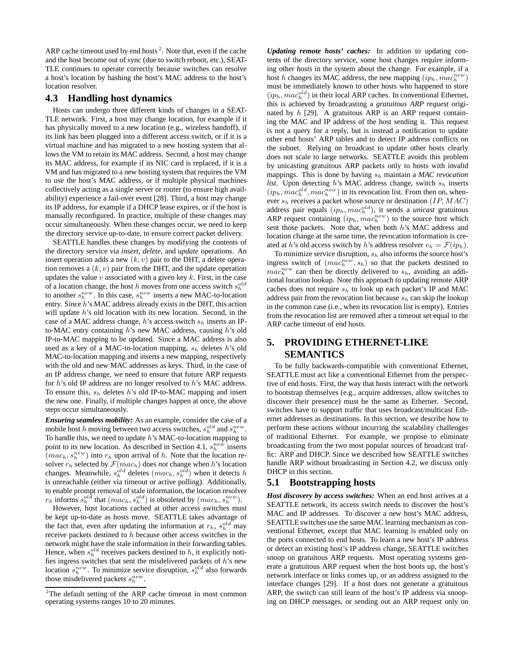ARP cache timeout used by end hosts<sup>2</sup>. Note that, even if the cache and the host become out of sync (due to switch reboot, etc.), SEAT-TLE continues to operate correctly because switches can resolve a host's location by hashing the host's MAC address to the host's location resolver.

## **4.3 Handling host dynamics**

Hosts can undergo three different kinds of changes in a SEAT-TLE network. First, a host may change location, for example if it has physically moved to a new location (e.g., wireless handoff), if its link has been plugged into a different access switch, or if it is a virtual machine and has migrated to a new hosting system that allows the VM to retain its MAC address. Second, a host may change its MAC address, for example if its NIC card is replaced, if it is a VM and has migrated to a new hosting system that requires the VM to use the host's MAC address, or if multiple physical machines collectively acting as a single server or router (to ensure high availability) experience a fail-over event [28]. Third, a host may change its IP address, for example if a DHCP lease expires, or if the host is manually reconfigured. In practice, multiple of these changes may occur simultaneously. When these changes occur, we need to keep the directory service up-to-date, to ensure correct packet delivery.

SEATTLE handles these changes by modifying the contents of the directory service via *insert*, *delete*, and *update* operations. An insert operation adds a new  $(k, v)$  pair to the DHT, a delete operation removes a  $(k, v)$  pair from the DHT, and the update operation updates the value  $v$  associated with a given key  $k$ . First, in the case of a location change, the host h moves from one access switch  $s_h^{old}$ to another  $s_h^{new}$ . In this case,  $s_h^{new}$  inserts a new MAC-to-location entry. Since h's MAC address already exists in the DHT, this action will update h's old location with its new location. Second, in the case of a MAC address change, h's access switch  $s_h$  inserts an IPto-MAC entry containing h's new MAC address, causing h's old IP-to-MAC mapping to be updated. Since a MAC address is also used as a key of a MAC-to-location mapping,  $s_h$  deletes h's old MAC-to-location mapping and inserts a new mapping, respectively with the old and new MAC addresses as keys. Third, in the case of an IP address change, we need to ensure that future ARP requests for h's old IP address are no longer resolved to h's MAC address. To ensure this,  $s_h$  deletes h's old IP-to-MAC mapping and insert the new one. Finally, if multiple changes happen at once, the above steps occur simultaneously.

*Ensuring seamless mobility:* As an example, consider the case of a mobile host h moving between two access switches,  $s_h^{old}$  and  $s_h^{new}$ . To handle this, we need to update  $h$ 's MAC-to-location mapping to point to its new location. As described in Section 4.1,  $s_h^{new}$  inserts  $(mac<sub>h</sub>, s<sub>h</sub><sup>new</sup>)$  into  $r<sub>h</sub>$  upon arrival of h. Note that the location resolver  $r_h$  selected by  $\mathcal{F}(mac_h)$  does *not* change when h's location changes. Meanwhile,  $s_h^{old}$  deletes  $(max_h, s_h^{old})$  when it detects h is unreachable (either via timeout or active polling). Additionally, to enable prompt removal of stale information, the location resolver  $r_h$  informs  $s_h^{old}$  that  $(max_h, s_h^{old})$  is obsoleted by  $(max_h, s_h^{new})$ .

However, host locations cached at other access switches must be kept up-to-date as hosts move. SEATTLE takes advantage of the fact that, even after updating the information at  $r_h$ ,  $s_h^{old}$  may receive packets destined to h because other access switches in the network might have the stale information in their forwarding tables. Hence, when  $s_h^{old}$  receives packets destined to h, it explicitly notifies ingress switches that sent the misdelivered packets of h's new location  $s_h^{new}$ . To minimize service disruption,  $s_h^{old}$  also forwards those misdelivered packets  $s_h^{new}$ .

*Updating remote hosts' caches:* In addition to updating contents of the directory service, some host changes require informing other *hosts* in the system about the change. For example, if a host h changes its MAC address, the new mapping  $(ip_h, mac_h^{new})$ must be immediately known to other hosts who happened to store  $(ip_h, mac_h^{old})$  in their local ARP caches. In conventional Ethernet, this is achieved by broadcasting a *gratuitous ARP request* originated by  $h$  [29]. A gratuitous ARP is an ARP request containing the MAC and IP address of the host sending it. This request is not a query for a reply, but is instead a notification to update other end hosts' ARP tables and to detect IP address conflicts on the subnet. Relying on broadcast to update other hosts clearly does not scale to large networks. SEATTLE avoids this problem by unicasting gratuitous ARP packets only to hosts with invalid mappings. This is done by having s<sup>h</sup> maintain a *MAC revocation list*. Upon detecting  $h$ 's MAC address change, switch  $s_h$  inserts  $(ip_h, mac_h^{old}, mac_h^{new})$  in its revocation list. From then on, whenever  $s_h$  receives a packet whose source or destination  $(IP, MAC)$ address pair equals  $(ip_h, mac_h^{old})$ , it sends a *unicast* gratuitous ARP request containing  $(ip_h, mac_h^{new})$  to the source host which sent those packets. Note that, when both h's MAC address and location change at the same time, the revocation information is created at h's old access switch by h's address resolver  $v_h = \mathcal{F}(ip_h)$ .

To minimize service disruption,  $s_h$  also informs the source host's ingress switch of  $(max_h^{new}, s_h)$  so that the packets destined to  $mac_h^{new}$  can then be directly delivered to  $s_h$ , avoiding an additional location lookup. Note this approach to updating remote ARP caches does not require  $s_h$  to look up each packet's IP and MAC address pair from the revocation list because  $s<sub>h</sub>$  can skip the lookup in the common case (i.e., when its revocation list is empty). Entries from the revocation list are removed after a timeout set equal to the ARP cache timeout of end hosts.

# **5. PROVIDING ETHERNET-LIKE SEMANTICS**

To be fully backwards-compatible with conventional Ethernet, SEATTLE must act like a conventional Ethernet from the perspective of end hosts. First, the way that hosts interact with the network to bootstrap themselves (e.g., acquire addresses, allow switches to discover their presence) must be the same as Ethernet. Second, switches have to support traffic that uses broadcast/multicast Ethernet addresses as destinations. In this section, we describe how to perform these actions without incurring the scalability challenges of traditional Ethernet. For example, we propose to eliminate broadcasting from the two most popular sources of broadcast traffic: ARP and DHCP. Since we described how SEATTLE switches handle ARP without broadcasting in Section 4.2, we discuss only DHCP in this section.

## **5.1 Bootstrapping hosts**

*Host discovery by access switches:* When an end host arrives at a SEATTLE network, its access switch needs to discover the host's MAC and IP addresses. To discover a new host's MAC address, SEATTLE switches use the same MAC learning mechanism as conventional Ethernet, except that MAC learning is enabled only on the ports connected to end hosts. To learn a new host's IP address or detect an existing host's IP address change, SEATTLE switches snoop on gratuitous ARP requests. Most operating systems generate a gratuitous ARP request when the host boots up, the host's network interface or links comes up, or an address assigned to the interface changes [29]. If a host does not generate a gratuitous ARP, the switch can still learn of the host's IP address via snooping on DHCP messages, or sending out an ARP request only on

<sup>&</sup>lt;sup>2</sup>The default setting of the ARP cache timeout in most common operating systems ranges 10 to 20 minutes.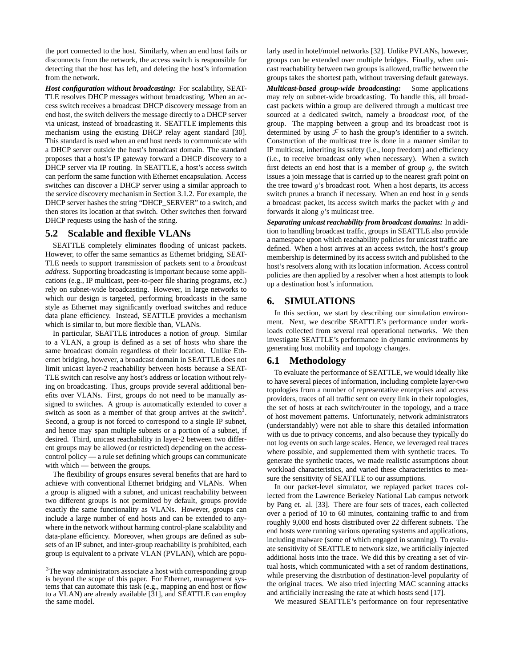the port connected to the host. Similarly, when an end host fails or disconnects from the network, the access switch is responsible for detecting that the host has left, and deleting the host's information from the network.

*Host configuration without broadcasting:* For scalability, SEAT-TLE resolves DHCP messages without broadcasting. When an access switch receives a broadcast DHCP discovery message from an end host, the switch delivers the message directly to a DHCP server via unicast, instead of broadcasting it. SEATTLE implements this mechanism using the existing DHCP relay agent standard [30]. This standard is used when an end host needs to communicate with a DHCP server outside the host's broadcast domain. The standard proposes that a host's IP gateway forward a DHCP discovery to a DHCP server via IP routing. In SEATTLE, a host's access switch can perform the same function with Ethernet encapsulation. Access switches can discover a DHCP server using a similar approach to the service discovery mechanism in Section 3.1.2. For example, the DHCP server hashes the string "DHCP\_SERVER" to a switch, and then stores its location at that switch. Other switches then forward DHCP requests using the hash of the string.

#### **5.2 Scalable and flexible VLANs**

SEATTLE completely eliminates flooding of unicast packets. However, to offer the same semantics as Ethernet bridging, SEAT-TLE needs to support transmission of packets sent to a *broadcast address*. Supporting broadcasting is important because some applications (e.g., IP multicast, peer-to-peer file sharing programs, etc.) rely on subnet-wide broadcasting. However, in large networks to which our design is targeted, performing broadcasts in the same style as Ethernet may significantly overload switches and reduce data plane efficiency. Instead, SEATTLE provides a mechanism which is similar to, but more flexible than, VLANs.

In particular, SEATTLE introduces a notion of *group*. Similar to a VLAN, a group is defined as a set of hosts who share the same broadcast domain regardless of their location. Unlike Ethernet bridging, however, a broadcast domain in SEATTLE does not limit unicast layer-2 reachability between hosts because a SEAT-TLE switch can resolve any host's address or location without relying on broadcasting. Thus, groups provide several additional benefits over VLANs. First, groups do not need to be manually assigned to switches. A group is automatically extended to cover a switch as soon as a member of that group arrives at the switch<sup>3</sup>. Second, a group is not forced to correspond to a single IP subnet, and hence may span multiple subnets or a portion of a subnet, if desired. Third, unicast reachability in layer-2 between two different groups may be allowed (or restricted) depending on the accesscontrol policy — a rule set defining which groups can communicate with which — between the groups.

The flexibility of groups ensures several benefits that are hard to achieve with conventional Ethernet bridging and VLANs. When a group is aligned with a subnet, and unicast reachability between two different groups is not permitted by default, groups provide exactly the same functionality as VLANs. However, groups can include a large number of end hosts and can be extended to anywhere in the network without harming control-plane scalability and data-plane efficiency. Moreover, when groups are defined as subsets of an IP subnet, and inter-group reachability is prohibited, each group is equivalent to a private VLAN (PVLAN), which are popularly used in hotel/motel networks [32]. Unlike PVLANs, however, groups can be extended over multiple bridges. Finally, when unicast reachability between two groups is allowed, traffic between the groups takes the shortest path, without traversing default gateways.

*Multicast-based group-wide broadcasting:* Some applications may rely on subnet-wide broadcasting. To handle this, all broadcast packets within a group are delivered through a multicast tree sourced at a dedicated switch, namely a *broadcast root*, of the group. The mapping between a group and its broadcast root is determined by using  $F$  to hash the group's identifier to a switch. Construction of the multicast tree is done in a manner similar to IP multicast, inheriting its safety (i.e., loop freedom) and efficiency (i.e., to receive broadcast only when necessary). When a switch first detects an end host that is a member of group  $q$ , the switch issues a join message that is carried up to the nearest graft point on the tree toward  $g$ 's broadcast root. When a host departs, its access switch prunes a branch if necessary. When an end host in  $g$  sends a broadcast packet, its access switch marks the packet with  $q$  and forwards it along  $q$ 's multicast tree.

*Separating unicast reachability from broadcast domains:* In addition to handling broadcast traffic, groups in SEATTLE also provide a namespace upon which reachability policies for unicast traffic are defined. When a host arrives at an access switch, the host's group membership is determined by its access switch and published to the host's resolvers along with its location information. Access control policies are then applied by a resolver when a host attempts to look up a destination host's information.

## **6. SIMULATIONS**

In this section, we start by describing our simulation environment. Next, we describe SEATTLE's performance under workloads collected from several real operational networks. We then investigate SEATTLE's performance in dynamic environments by generating host mobility and topology changes.

## **6.1 Methodology**

To evaluate the performance of SEATTLE, we would ideally like to have several pieces of information, including complete layer-two topologies from a number of representative enterprises and access providers, traces of all traffic sent on every link in their topologies, the set of hosts at each switch/router in the topology, and a trace of host movement patterns. Unfortunately, network administrators (understandably) were not able to share this detailed information with us due to privacy concerns, and also because they typically do not log events on such large scales. Hence, we leveraged real traces where possible, and supplemented them with synthetic traces. To generate the synthetic traces, we made realistic assumptions about workload characteristics, and varied these characteristics to measure the sensitivity of SEATTLE to our assumptions.

In our packet-level simulator, we replayed packet traces collected from the Lawrence Berkeley National Lab campus network by Pang et. al. [33]. There are four sets of traces, each collected over a period of 10 to 60 minutes, containing traffic to and from roughly 9,000 end hosts distributed over 22 different subnets. The end hosts were running various operating systems and applications, including malware (some of which engaged in scanning). To evaluate sensitivity of SEATTLE to network size, we artificially injected additional hosts into the trace. We did this by creating a set of virtual hosts, which communicated with a set of random destinations, while preserving the distribution of destination-level popularity of the original traces. We also tried injecting MAC scanning attacks and artificially increasing the rate at which hosts send [17].

We measured SEATTLE's performance on four representative

<sup>&</sup>lt;sup>3</sup>The way administrators associate a host with corresponding group is beyond the scope of this paper. For Ethernet, management systems that can automate this task (e.g., mapping an end host or flow to a VLAN) are already available [31], and SEATTLE can employ the same model.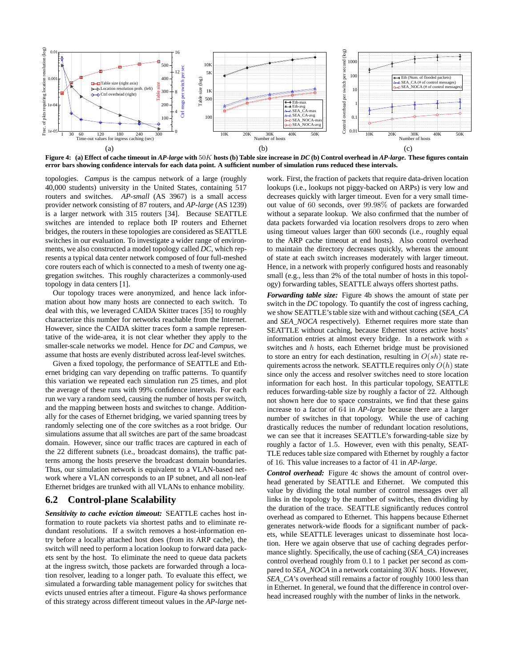

**Figure 4: (a) Effect of cache timeout in** *AP-large* **with** 50K **hosts (b) Table size increase in** *DC* **(b) Control overhead in** *AP-large***. These figures contain error bars showing confidence intervals for each data point. A sufficient number of simulation runs reduced these intervals.**

topologies. *Campus* is the campus network of a large (roughly 40,000 students) university in the United States, containing 517 routers and switches. *AP-small* (AS 3967) is a small access provider network consisting of 87 routers, and *AP-large* (AS 1239) is a larger network with 315 routers [34]. Because SEATTLE switches are intended to replace both IP routers and Ethernet bridges, the routers in these topologies are considered as SEATTLE switches in our evaluation. To investigate a wider range of environments, we also constructed a model topology called *DC*, which represents a typical data center network composed of four full-meshed core routers each of which is connected to a mesh of twenty one aggregation switches. This roughly characterizes a commonly-used topology in data centers [1].

Our topology traces were anonymized, and hence lack information about how many hosts are connected to each switch. To deal with this, we leveraged CAIDA Skitter traces [35] to roughly characterize this number for networks reachable from the Internet. However, since the CAIDA skitter traces form a sample representative of the wide-area, it is not clear whether they apply to the smaller-scale networks we model. Hence for *DC* and *Campus*, we assume that hosts are evenly distributed across leaf-level switches.

Given a fixed topology, the performance of SEATTLE and Ethernet bridging can vary depending on traffic patterns. To quantify this variation we repeated each simulation run 25 times, and plot the average of these runs with 99% confidence intervals. For each run we vary a random seed, causing the number of hosts per switch, and the mapping between hosts and switches to change. Additionally for the cases of Ethernet bridging, we varied spanning trees by randomly selecting one of the core switches as a root bridge. Our simulations assume that all switches are part of the same broadcast domain. However, since our traffic traces are captured in each of the 22 different subnets (i.e., broadcast domains), the traffic patterns among the hosts preserve the broadcast domain boundaries. Thus, our simulation network is equivalent to a VLAN-based network where a VLAN corresponds to an IP subnet, and all non-leaf Ethernet bridges are trunked with all VLANs to enhance mobility.

## **6.2 Control-plane Scalability**

*Sensitivity to cache eviction timeout:* SEATTLE caches host information to route packets via shortest paths and to eliminate redundant resolutions. If a switch removes a host-information entry before a locally attached host does (from its ARP cache), the switch will need to perform a location lookup to forward data packets sent by the host. To eliminate the need to queue data packets at the ingress switch, those packets are forwarded through a location resolver, leading to a longer path. To evaluate this effect, we simulated a forwarding table management policy for switches that evicts unused entries after a timeout. Figure 4a shows performance of this strategy across different timeout values in the *AP-large* network. First, the fraction of packets that require data-driven location lookups (i.e., lookups not piggy-backed on ARPs) is very low and decreases quickly with larger timeout. Even for a very small timeout value of 60 seconds, over 99.98% of packets are forwarded without a separate lookup. We also confirmed that the number of data packets forwarded via location resolvers drops to zero when using timeout values larger than 600 seconds (i.e., roughly equal to the ARP cache timeout at end hosts). Also control overhead to maintain the directory decreases quickly, whereas the amount of state at each switch increases moderately with larger timeout. Hence, in a network with properly configured hosts and reasonably small (e.g., less than 2% of the total number of hosts in this topology) forwarding tables, SEATTLE always offers shortest paths.

*Forwarding table size:* Figure 4b shows the amount of state per switch in the *DC* topology. To quantify the cost of ingress caching, we show SEATTLE's table size with and without caching (*SEA\_CA* and *SEA\_NOCA* respectively). Ethernet requires more state than SEATTLE without caching, because Ethernet stores active hosts' information entries at almost every bridge. In a network with s switches and h hosts, each Ethernet bridge must be provisioned to store an entry for each destination, resulting in  $O(sh)$  state requirements across the network. SEATTLE requires only  $O(h)$  state since only the access and resolver switches need to store location information for each host. In this particular topology, SEATTLE reduces forwarding-table size by roughly a factor of 22. Although not shown here due to space constraints, we find that these gains increase to a factor of 64 in *AP-large* because there are a larger number of switches in that topology. While the use of caching drastically reduces the number of redundant location resolutions, we can see that it increases SEATTLE's forwarding-table size by roughly a factor of 1.5. However, even with this penalty, SEAT-TLE reduces table size compared with Ethernet by roughly a factor of 16. This value increases to a factor of 41 in *AP-large*.

*Control overhead:* Figure 4c shows the amount of control overhead generated by SEATTLE and Ethernet. We computed this value by dividing the total number of control messages over all links in the topology by the number of switches, then dividing by the duration of the trace. SEATTLE significantly reduces control overhead as compared to Ethernet. This happens because Ethernet generates network-wide floods for a significant number of packets, while SEATTLE leverages unicast to disseminate host location. Here we again observe that use of caching degrades performance slightly. Specifically, the use of caching (*SEA\_CA*) increases control overhead roughly from 0.1 to 1 packet per second as compared to *SEA\_NOCA* in a network containing 30K hosts. However, *SEA\_CA*'s overhead still remains a factor of roughly 1000 less than in Ethernet. In general, we found that the difference in control overhead increased roughly with the number of links in the network.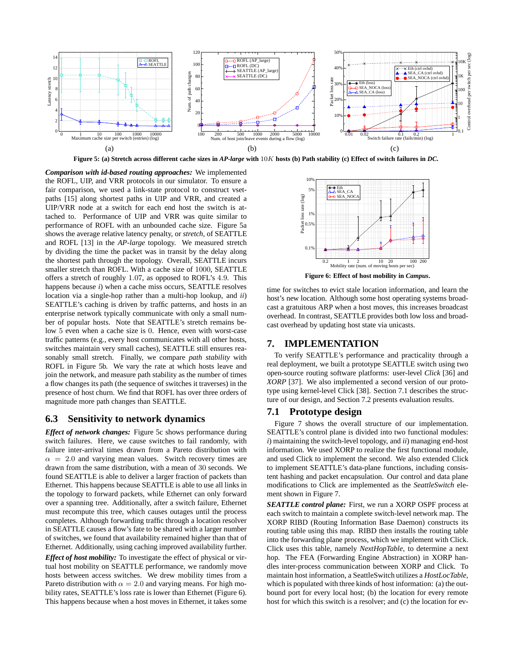

**Figure 5: (a) Stretch across different cache sizes in** *AP-large* **with** 10K **hosts (b) Path stability (c) Effect of switch failures in** *DC***.**

*Comparison with id-based routing approaches:* We implemented the ROFL, UIP, and VRR protocols in our simulator. To ensure a fair comparison, we used a link-state protocol to construct vsetpaths [15] along shortest paths in UIP and VRR, and created a UIP/VRR node at a switch for each end host the switch is attached to. Performance of UIP and VRR was quite similar to performance of ROFL with an unbounded cache size. Figure 5a shows the average relative latency penalty, or *stretch*, of SEATTLE and ROFL [13] in the *AP-large* topology. We measured stretch by dividing the time the packet was in transit by the delay along the shortest path through the topology. Overall, SEATTLE incurs smaller stretch than ROFL. With a cache size of 1000, SEATTLE offers a stretch of roughly 1.07, as opposed to ROFL's 4.9. This happens because *i*) when a cache miss occurs, SEATTLE resolves location via a single-hop rather than a multi-hop lookup, and *ii*) SEATTLE's caching is driven by traffic patterns, and hosts in an enterprise network typically communicate with only a small number of popular hosts. Note that SEATTLE's stretch remains below 5 even when a cache size is 0. Hence, even with worst-case traffic patterns (e.g., every host communicates with all other hosts, switches maintain very small caches), SEATTLE still ensures reasonably small stretch. Finally, we compare *path stability* with ROFL in Figure 5b. We vary the rate at which hosts leave and join the network, and measure path stability as the number of times a flow changes its path (the sequence of switches it traverses) in the presence of host churn. We find that ROFL has over three orders of magnitude more path changes than SEATTLE.

## **6.3 Sensitivity to network dynamics**

*Effect of network changes:* Figure 5c shows performance during switch failures. Here, we cause switches to fail randomly, with failure inter-arrival times drawn from a Pareto distribution with  $\alpha = 2.0$  and varying mean values. Switch recovery times are drawn from the same distribution, with a mean of 30 seconds. We found SEATTLE is able to deliver a larger fraction of packets than Ethernet. This happens because SEATTLE is able to use all links in the topology to forward packets, while Ethernet can only forward over a spanning tree. Additionally, after a switch failure, Ethernet must recompute this tree, which causes outages until the process completes. Although forwarding traffic through a location resolver in SEATTLE causes a flow's fate to be shared with a larger number of switches, we found that availability remained higher than that of Ethernet. Additionally, using caching improved availability further.

*Effect of host mobility:* To investigate the effect of physical or virtual host mobility on SEATTLE performance, we randomly move hosts between access switches. We drew mobility times from a Pareto distribution with  $\alpha = 2.0$  and varying means. For high mobility rates, SEATTLE's loss rate is lower than Ethernet (Figure 6). This happens because when a host moves in Ethernet, it takes some



**Figure 6: Effect of host mobility in** *Campus***.**

time for switches to evict stale location information, and learn the host's new location. Although some host operating systems broadcast a gratuitous ARP when a host moves, this increases broadcast overhead. In contrast, SEATTLE provides both low loss and broadcast overhead by updating host state via unicasts.

## **7. IMPLEMENTATION**

To verify SEATTLE's performance and practicality through a real deployment, we built a prototype SEATTLE switch using two open-source routing software platforms: user-level *Click* [36] and *XORP* [37]. We also implemented a second version of our prototype using kernel-level Click [38]. Section 7.1 describes the structure of our design, and Section 7.2 presents evaluation results.

## **7.1 Prototype design**

Figure 7 shows the overall structure of our implementation. SEATTLE's control plane is divided into two functional modules: *i*) maintaining the switch-level topology, and *ii*) managing end-host information. We used XORP to realize the first functional module, and used Click to implement the second. We also extended Click to implement SEATTLE's data-plane functions, including consistent hashing and packet encapsulation. Our control and data plane modifications to Click are implemented as the *SeattleSwitch* element shown in Figure 7.

*SEATTLE control plane:* First, we run a XORP OSPF process at each switch to maintain a complete switch-level network map. The XORP RIBD (Routing Information Base Daemon) constructs its routing table using this map. RIBD then installs the routing table into the forwarding plane process, which we implement with Click. Click uses this table, namely *NextHopTable*, to determine a next hop. The FEA (Forwarding Engine Abstraction) in XORP handles inter-process communication between XORP and Click. To maintain host information, a SeattleSwitch utilizes a *HostLocTable*, which is populated with three kinds of host information: (a) the outbound port for every local host; (b) the location for every remote host for which this switch is a resolver; and (c) the location for ev-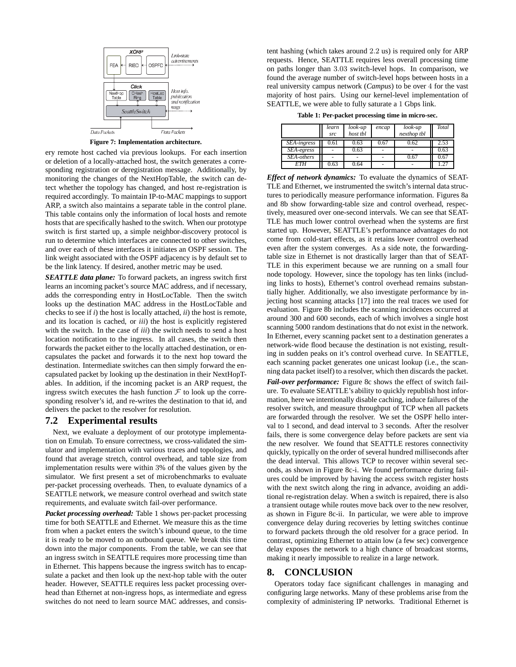

**Figure 7: Implementation architecture.**

ery remote host cached via previous lookups. For each insertion or deletion of a locally-attached host, the switch generates a corresponding registration or deregistration message. Additionally, by monitoring the changes of the NextHopTable, the switch can detect whether the topology has changed, and host re-registration is required accordingly. To maintain IP-to-MAC mappings to support ARP, a switch also maintains a separate table in the control plane. This table contains only the information of local hosts and remote hosts that are specifically hashed to the switch. When our prototype switch is first started up, a simple neighbor-discovery protocol is run to determine which interfaces are connected to other switches, and over each of these interfaces it initiates an OSPF session. The link weight associated with the OSPF adjacency is by default set to be the link latency. If desired, another metric may be used.

*SEATTLE data plane:* To forward packets, an ingress switch first learns an incoming packet's source MAC address, and if necessary, adds the corresponding entry in HostLocTable. Then the switch looks up the destination MAC address in the HostLocTable and checks to see if *i*) the host is locally attached, *ii*) the host is remote, and its location is cached, or *iii*) the host is explicitly registered with the switch. In the case of *iii*) the switch needs to send a host location notification to the ingress. In all cases, the switch then forwards the packet either to the locally attached destination, or encapsulates the packet and forwards it to the next hop toward the destination. Intermediate switches can then simply forward the encapsulated packet by looking up the destination in their NextHopTables. In addition, if the incoming packet is an ARP request, the ingress switch executes the hash function  $\mathcal F$  to look up the corresponding resolver's id, and re-writes the destination to that id, and delivers the packet to the resolver for resolution.

## **7.2 Experimental results**

Next, we evaluate a deployment of our prototype implementation on Emulab. To ensure correctness, we cross-validated the simulator and implementation with various traces and topologies, and found that average stretch, control overhead, and table size from implementation results were within 3% of the values given by the simulator. We first present a set of microbenchmarks to evaluate per-packet processing overheads. Then, to evaluate dynamics of a SEATTLE network, we measure control overhead and switch state requirements, and evaluate switch fail-over performance.

*Packet processing overhead:* Table 1 shows per-packet processing time for both SEATTLE and Ethernet. We measure this as the time from when a packet enters the switch's inbound queue, to the time it is ready to be moved to an outbound queue. We break this time down into the major components. From the table, we can see that an ingress switch in SEATTLE requires more processing time than in Ethernet. This happens because the ingress switch has to encapsulate a packet and then look up the next-hop table with the outer header. However, SEATTLE requires less packet processing overhead than Ethernet at non-ingress hops, as intermediate and egress switches do not need to learn source MAC addresses, and consistent hashing (which takes around 2.2 us) is required only for ARP requests. Hence, SEATTLE requires less overall processing time on paths longer than 3.03 switch-level hops. In comparison, we found the average number of switch-level hops between hosts in a real university campus network (*Campus*) to be over 4 for the vast majority of host pairs. Using our kernel-level implementation of SEATTLE, we were able to fully saturate a 1 Gbps link.

**Table 1: Per-packet processing time in micro-sec.**

|                    | learn<br>src | $look-up$<br>host tbl | encap | $look-up$<br>nexthop tbl | Total |
|--------------------|--------------|-----------------------|-------|--------------------------|-------|
| <b>SEA-ingress</b> | 0.61         | 0.63                  | 0.67  | 0.62                     | 2.53  |
| SEA-egress         |              | 0.63                  |       |                          | 0.63  |
| SEA-others         |              |                       |       | 0.67                     | 0.67  |
| <b>FTH</b>         | 0.63         | 0.64                  | ٠     |                          |       |

*Effect of network dynamics:* To evaluate the dynamics of SEAT-TLE and Ethernet, we instrumented the switch's internal data structures to periodically measure performance information. Figures 8a and 8b show forwarding-table size and control overhead, respectively, measured over one-second intervals. We can see that SEAT-TLE has much lower control overhead when the systems are first started up. However, SEATTLE's performance advantages do not come from cold-start effects, as it retains lower control overhead even after the system converges. As a side note, the forwardingtable size in Ethernet is not drastically larger than that of SEAT-TLE in this experiment because we are running on a small four node topology. However, since the topology has ten links (including links to hosts), Ethernet's control overhead remains substantially higher. Additionally, we also investigate performance by injecting host scanning attacks [17] into the real traces we used for evaluation. Figure 8b includes the scanning incidences occurred at around 300 and 600 seconds, each of which involves a single host scanning 5000 random destinations that do not exist in the network. In Ethernet, every scanning packet sent to a destination generates a network-wide flood because the destination is not existing, resulting in sudden peaks on it's control overhead curve. In SEATTLE, each scanning packet generates one unicast lookup (i.e., the scanning data packet itself) to a resolver, which then discards the packet.

*Fail-over performance:* Figure 8c shows the effect of switch failure. To evaluate SEATTLE's ability to quickly republish host information, here we intentionally disable caching, induce failures of the resolver switch, and measure throughput of TCP when all packets are forwarded through the resolver. We set the OSPF hello interval to 1 second, and dead interval to 3 seconds. After the resolver fails, there is some convergence delay before packets are sent via the new resolver. We found that SEATTLE restores connectivity quickly, typically on the order of several hundred milliseconds after the dead interval. This allows TCP to recover within several seconds, as shown in Figure 8c-i. We found performance during failures could be improved by having the access switch register hosts with the next switch along the ring in advance, avoiding an additional re-registration delay. When a switch is repaired, there is also a transient outage while routes move back over to the new resolver, as shown in Figure 8c-ii. In particular, we were able to improve convergence delay during recoveries by letting switches continue to forward packets through the old resolver for a grace period. In contrast, optimizing Ethernet to attain low (a few sec) convergence delay exposes the network to a high chance of broadcast storms, making it nearly impossible to realize in a large network.

## **8. CONCLUSION**

Operators today face significant challenges in managing and configuring large networks. Many of these problems arise from the complexity of administering IP networks. Traditional Ethernet is